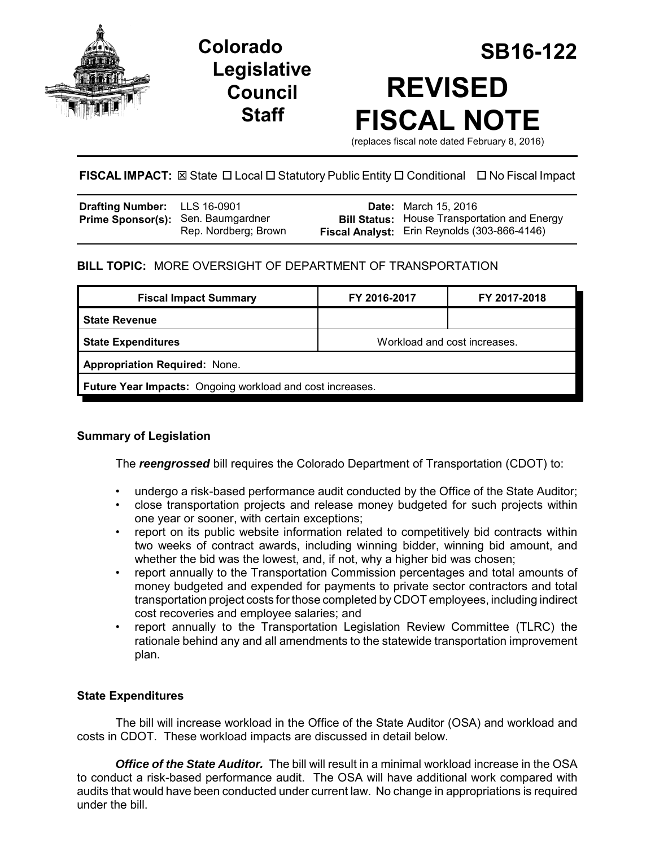



# **Colorado SB16-122 REVISED FISCAL NOTE**

(replaces fiscal note dated February 8, 2016)

# **FISCAL IMPACT:** ⊠ State □ Local □ Statutory Public Entity □ Conditional □ No Fiscal Impact

| <b>Drafting Number:</b> LLS 16-0901       |                      | <b>Date:</b> March 15, 2016                                                                                |
|-------------------------------------------|----------------------|------------------------------------------------------------------------------------------------------------|
| <b>Prime Sponsor(s):</b> Sen. Baumgardner | Rep. Nordberg; Brown | <b>Bill Status:</b> House Transportation and Energy<br><b>Fiscal Analyst:</b> Erin Reynolds (303-866-4146) |

## **BILL TOPIC:** MORE OVERSIGHT OF DEPARTMENT OF TRANSPORTATION

| <b>Fiscal Impact Summary</b>                              | FY 2016-2017                 | FY 2017-2018 |  |  |  |
|-----------------------------------------------------------|------------------------------|--------------|--|--|--|
| <b>State Revenue</b>                                      |                              |              |  |  |  |
| <b>State Expenditures</b>                                 | Workload and cost increases. |              |  |  |  |
| <b>Appropriation Required: None.</b>                      |                              |              |  |  |  |
| Future Year Impacts: Ongoing workload and cost increases. |                              |              |  |  |  |

## **Summary of Legislation**

The *reengrossed* bill requires the Colorado Department of Transportation (CDOT) to:

- undergo a risk-based performance audit conducted by the Office of the State Auditor;
- close transportation projects and release money budgeted for such projects within one year or sooner, with certain exceptions;
- report on its public website information related to competitively bid contracts within two weeks of contract awards, including winning bidder, winning bid amount, and whether the bid was the lowest, and, if not, why a higher bid was chosen;
- report annually to the Transportation Commission percentages and total amounts of money budgeted and expended for payments to private sector contractors and total transportation project costs for those completed by CDOT employees, including indirect cost recoveries and employee salaries; and
- report annually to the Transportation Legislation Review Committee (TLRC) the rationale behind any and all amendments to the statewide transportation improvement plan.

## **State Expenditures**

The bill will increase workload in the Office of the State Auditor (OSA) and workload and costs in CDOT. These workload impacts are discussed in detail below.

*Office of the State Auditor.* The bill will result in a minimal workload increase in the OSA to conduct a risk-based performance audit. The OSA will have additional work compared with audits that would have been conducted under current law. No change in appropriations is required under the bill.